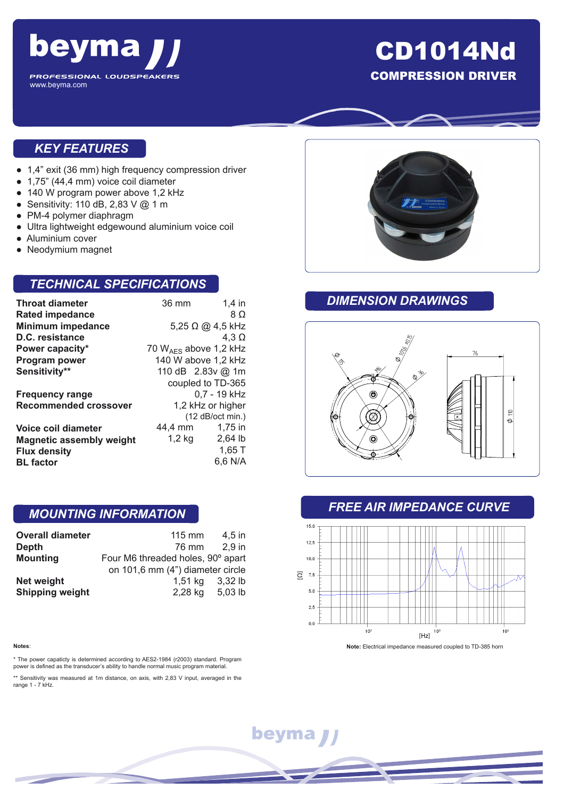

## CD1014Nd COMPRESSION DRIVER

#### *KEY FEATURES*

- 1,4" exit (36 mm) high frequency compression driver
- 1,75" (44,4 mm) voice coil diameter
- 140 W program power above 1,2 kHz
- Sensitivity: 110 dB, 2,83 V @ 1 m
- PM-4 polymer diaphragm
- Ultra lightweight edgewound aluminium voice coil
- Aluminium cover
- Neodymium magnet

### *TECHNICAL SPECIFICATIONS*

| <b>Throat diameter</b>          | 36 mm                        | $1.4$ in          |
|---------------------------------|------------------------------|-------------------|
| <b>Rated impedance</b>          |                              | 8 O               |
| <b>Minimum impedance</b>        | $5,25 \Omega \omega$ 4.5 kHz |                   |
| D.C. resistance                 |                              | 4.3 $\Omega$      |
| Power capacity*                 | 70 $W_{AFS}$ above 1,2 kHz   |                   |
| Program power                   | 140 W above 1,2 kHz          |                   |
| Sensitivity**                   | 110 dB 2.83v @ 1m            |                   |
|                                 |                              | coupled to TD-365 |
| <b>Frequency range</b>          | 0.7 - 19 kHz                 |                   |
| <b>Recommended crossover</b>    | 1,2 kHz or higher            |                   |
|                                 | $(12$ dB/oct min.)           |                   |
| Voice coil diameter             | 44,4 mm                      | $1,75$ in         |
| <b>Magnetic assembly weight</b> | $1,2$ kg                     | $2,64$ lb         |
| <b>Flux density</b>             |                              | $1,65$ T          |
| <b>BL</b> factor                |                              | 6,6 N/A           |

#### *MOUNTING INFORMATION*

| <b>Overall diameter</b> | $115 \text{ mm}$                  | 4.5 in  |
|-------------------------|-----------------------------------|---------|
| <b>Depth</b>            | 76 mm                             | 2.9 in  |
| <b>Mounting</b>         | Four M6 threaded holes, 90° apart |         |
|                         | on 101,6 mm (4") diameter circle  |         |
| Net weight              | 1,51 kg                           | 3.32 lb |
| <b>Shipping weight</b>  | 2,28 kg                           | 5,03 lb |

\* The power capaticty is determined according to AES2-1984 (r2003) standard. Program power is defined as the transducer's ability to handle normal music program material.

\*\* Sensitivity was measured at 1m distance, on axis, with 2,83 V input, averaged in the range 1 - 7 kHz.



#### *DIMENSION DRAWINGS*



#### *FREE AIR IMPEDANCE CURVE*



# beyma J